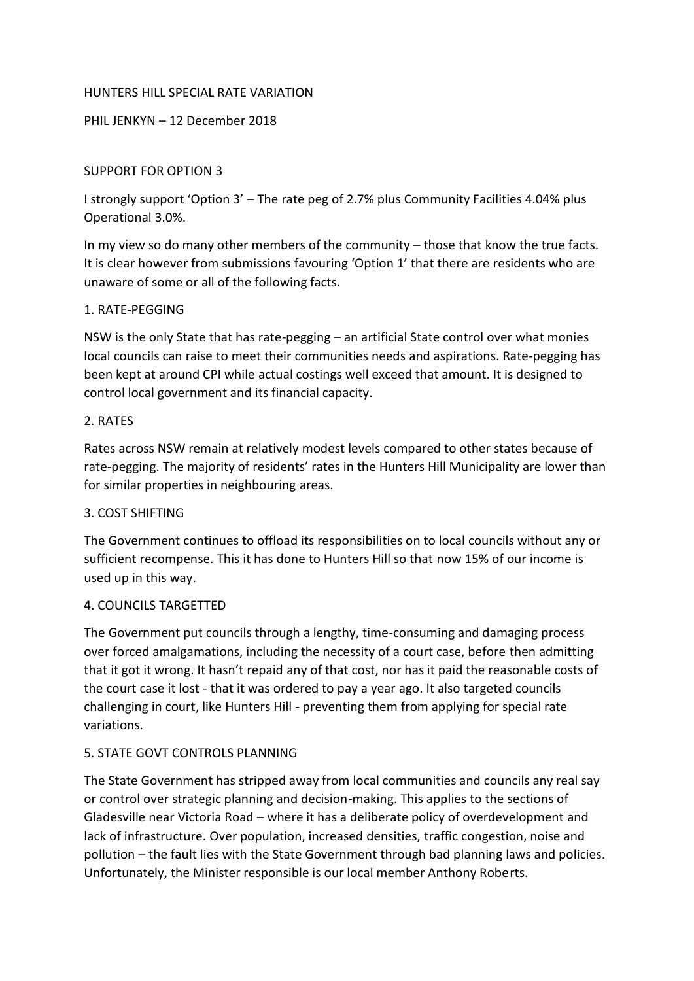### HUNTERS HILL SPECIAL RATE VARIATION

# PHIL JENKYN – 12 December 2018

## SUPPORT FOR OPTION 3

I strongly support 'Option 3' – The rate peg of 2.7% plus Community Facilities 4.04% plus Operational 3.0%.

In my view so do many other members of the community – those that know the true facts. It is clear however from submissions favouring 'Option 1' that there are residents who are unaware of some or all of the following facts.

### 1. RATE-PEGGING

NSW is the only State that has rate-pegging – an artificial State control over what monies local councils can raise to meet their communities needs and aspirations. Rate-pegging has been kept at around CPI while actual costings well exceed that amount. It is designed to control local government and its financial capacity.

#### 2. RATES

Rates across NSW remain at relatively modest levels compared to other states because of rate-pegging. The majority of residents' rates in the Hunters Hill Municipality are lower than for similar properties in neighbouring areas.

#### 3. COST SHIFTING

The Government continues to offload its responsibilities on to local councils without any or sufficient recompense. This it has done to Hunters Hill so that now 15% of our income is used up in this way.

#### 4. COUNCILS TARGETTED

The Government put councils through a lengthy, time-consuming and damaging process over forced amalgamations, including the necessity of a court case, before then admitting that it got it wrong. It hasn't repaid any of that cost, nor has it paid the reasonable costs of the court case it lost - that it was ordered to pay a year ago. It also targeted councils challenging in court, like Hunters Hill - preventing them from applying for special rate variations.

#### 5. STATE GOVT CONTROLS PLANNING

The State Government has stripped away from local communities and councils any real say or control over strategic planning and decision-making. This applies to the sections of Gladesville near Victoria Road – where it has a deliberate policy of overdevelopment and lack of infrastructure. Over population, increased densities, traffic congestion, noise and pollution – the fault lies with the State Government through bad planning laws and policies. Unfortunately, the Minister responsible is our local member Anthony Roberts.